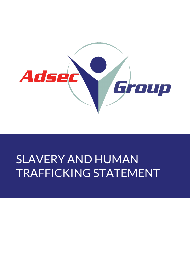

# SLAVERY AND HUMAN TRAFFICKING STATEMENT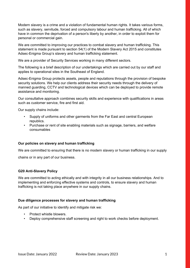Modern slavery is a crime and a violation of fundamental human rights. It takes various forms, such as slavery, servitude, forced and compulsory labour and human trafficking. All of which have in common the deprivation of a person's liberty by another, in order to exploit them for personal or commercial gain.

We are committed to improving our practices to combat slavery and human trafficking. This statement is made pursuant to section 54(1) of the Modern Slavery Act 2015 and constitutes Adsec-Enigma Group's slavery and human trafficking statement.

We are a provider of Security Services working in many different sectors.

The following is a brief description of our undertakings which are carried out by our staff and applies to operational sites in the Southeast of England.

Adsec-Enigma Group protects assets, people and reputations through the provision of bespoke security solutions. We help our clients address their security needs through the delivery of manned guarding, CCTV and technological devices which can be deployed to provide remote assistance and monitoring.

Our consultative approach combines security skills and experience with qualifications in areas such as customer service, fire and first aid.

Our supply chains include:

- Supply of uniforms and other garments from the Far East and central European republics.
- Purchase or rent of site enabling materials such as signage, barriers, and welfare consumables

## **Our policies on slavery and human trafficking**

We are committed to ensuring that there is no modern slavery or human trafficking in our supply

chains or in any part of our business.

## **G20 Anti-Slavery Policy**

We are committed to acting ethically and with integrity in all our business relationships. And to implementing and enforcing effective systems and controls, to ensure slavery and human trafficking is not taking place anywhere in our supply chains.

#### **Due diligence processes for slavery and human trafficking**

As part of our initiative to identify and mitigate risk we:

- Protect whistle blowers.
- Deploy comprehensive staff screening and right to work checks before deployment.